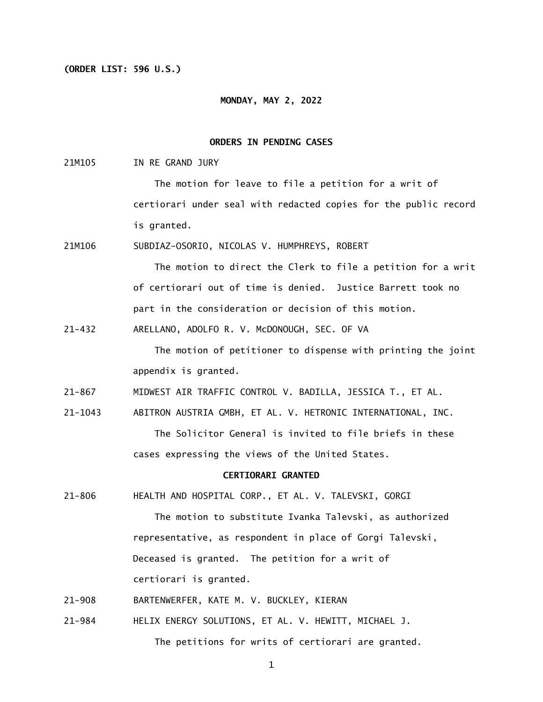### **(ORDER LIST: 596 U.S.)**

### **MONDAY, MAY 2, 2022**

## **ORDERS IN PENDING CASES**

21M105 IN RE GRAND JURY

> The motion for leave to file a petition for a writ of certiorari under seal with redacted copies for the public record is granted.

21M106 SUBDIAZ-OSORIO, NICOLAS V. HUMPHREYS, ROBERT

> The motion to direct the Clerk to file a petition for a writ of certiorari out of time is denied. Justice Barrett took no part in the consideration or decision of this motion.

 $21 - 432$ ARELLANO, ADOLFO R. V. McDONOUGH, SEC. OF VA

> The motion of petitioner to dispense with printing the joint appendix is granted.

 $21 - 867$ 21-867 MIDWEST AIR TRAFFIC CONTROL V. BADILLA, JESSICA T., ET AL.

21-1043 ABITRON AUSTRIA GMBH, ET AL. V. HETRONIC INTERNATIONAL, INC. The Solicitor General is invited to file briefs in these cases expressing the views of the United States.

#### **CERTIORARI GRANTED**

 $21 - 806$ HEALTH AND HOSPITAL CORP., ET AL. V. TALEVSKI, GORGI

> representative, as respondent in place of Gorgi Talevski,<br>Deceased is granted. The petition for a writ of Deceased is granted. The petition for a writ of The motion to substitute Ivanka Talevski, as authorized certiorari is granted.

 $21 - 908$ 21-908 BARTENWERFER, KATE M. V. BUCKLEY, KIERAN

 $21 - 984$ HELIX ENERGY SOLUTIONS, ET AL. V. HEWITT, MICHAEL J. The petitions for writs of certiorari are granted.

1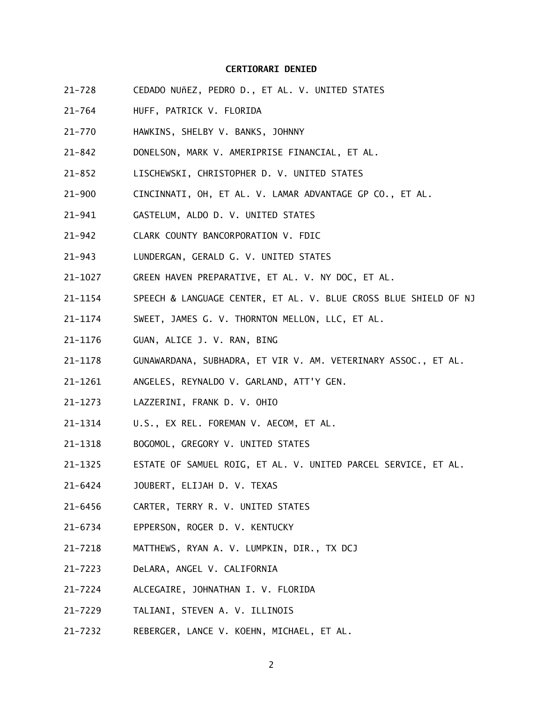### **CERTIORARI DENIED**

- $21 728$ CEDADO NUñEZ, PEDRO D., ET AL. V. UNITED STATES
- $21 764$ HUFF, PATRICK V. FLORIDA
- $21 770$ HAWKINS, SHELBY V. BANKS, JOHNNY
- $21 842$ 21-842 DONELSON, MARK V. AMERIPRISE FINANCIAL, ET AL.
- $21 852$ LISCHEWSKI, CHRISTOPHER D. V. UNITED STATES
- $21 900$ CINCINNATI, OH, ET AL. V. LAMAR ADVANTAGE GP CO., ET AL.
- $21 941$ GASTELUM, ALDO D. V. UNITED STATES
- $21 942$ CLARK COUNTY BANCORPORATION V. FDIC
- $21 943$ LUNDERGAN, GERALD G. V. UNITED STATES
- 21-1027 GREEN HAVEN PREPARATIVE, ET AL. V. NY DOC, ET AL.
- 21-1154 SPEECH & LANGUAGE CENTER, ET AL. V. BLUE CROSS BLUE SHIELD OF NJ
- 21-1174 SWEET, JAMES G. V. THORNTON MELLON, LLC, ET AL.
- 21-1176 GUAN, ALICE J. V. RAN, BING
- 21-1178 GUNAWARDANA, SUBHADRA, ET VIR V. AM. VETERINARY ASSOC., ET AL.
- 21-1261 ANGELES, REYNALDO V. GARLAND, ATT'Y GEN.
- 21-1273 LAZZERINI, FRANK D. V. OHIO
- 21-1314 U.S., EX REL. FOREMAN V. AECOM, ET AL.
- 21-1318 BOGOMOL, GREGORY V. UNITED STATES
- 21-1325 ESTATE OF SAMUEL ROIG, ET AL. V. UNITED PARCEL SERVICE, ET AL.
- 21-6424 JOUBERT, ELIJAH D. V. TEXAS
- 21-6456 CARTER, TERRY R. V. UNITED STATES
- 21-6734 EPPERSON, ROGER D. V. KENTUCKY
- 21-7218 MATTHEWS, RYAN A. V. LUMPKIN, DIR., TX DCJ
- 21-7223 DeLARA, ANGEL V. CALIFORNIA
- 21-7224 ALCEGAIRE, JOHNATHAN I. V. FLORIDA
- 21-7229 21-7229 TALIANI, STEVEN A. V. ILLINOIS
- 21–7232 REBERGER, LANCE V. KOEHN, MICHAEL, ET AL.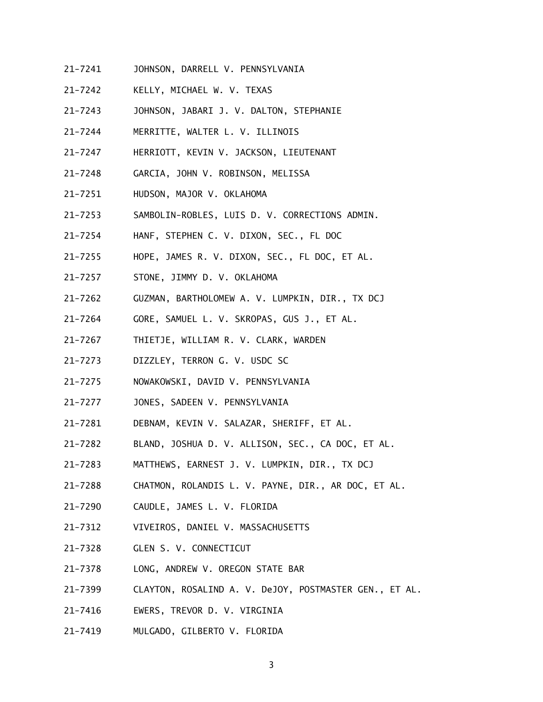- 21-7241 JOHNSON, DARRELL V. PENNSYLVANIA
- 21-7242 KELLY, MICHAEL W. V. TEXAS
- 21-7243 JOHNSON, JABARI J. V. DALTON, STEPHANIE
- 21-7244 MERRITTE, WALTER L. V. ILLINOIS
- 21-7247 HERRIOTT, KEVIN V. JACKSON, LIEUTENANT
- 21-7248 GARCIA, JOHN V. ROBINSON, MELISSA
- 21-7251 HUDSON, MAJOR V. OKLAHOMA
- 21-7253 SAMBOLIN-ROBLES, LUIS D. V. CORRECTIONS ADMIN.
- 21-7254 HANF, STEPHEN C. V. DIXON, SEC., FL DOC
- 21-7255 HOPE, JAMES R. V. DIXON, SEC., FL DOC, ET AL.
- $21 7257$ STONE, JIMMY D. V. OKLAHOMA
- 21-7262 GUZMAN, BARTHOLOMEW A. V. LUMPKIN, DIR., TX DCJ
- 21-7264 GORE, SAMUEL L. V. SKROPAS, GUS J., ET AL.
- 21-7267 THIETJE, WILLIAM R. V. CLARK, WARDEN
- 21-7273 DIZZLEY, TERRON G. V. USDC SC
- 21-7275 NOWAKOWSKI, DAVID V. PENNSYLVANIA
- 21-7277 JONES, SADEEN V. PENNSYLVANIA
- 21-7281 DEBNAM, KEVIN V. SALAZAR, SHERIFF, ET AL.
- 21-7282 BLAND, JOSHUA D. V. ALLISON, SEC., CA DOC, ET AL.
- 21-7283 MATTHEWS, EARNEST J. V. LUMPKIN, DIR., TX DCJ
- 21-7288 CHATMON, ROLANDIS L. V. PAYNE, DIR., AR DOC, ET AL.
- 21-7290 CAUDLE, JAMES L. V. FLORIDA
- 21-7312 VIVEIROS, DANIEL V. MASSACHUSETTS
- 21-7328 GLEN S. V. CONNECTICUT
- 21-7378 LONG, ANDREW V. OREGON STATE BAR
- 21-7399 CLAYTON, ROSALIND A. V. DeJOY, POSTMASTER GEN., ET AL.
- 21-7416 EWERS, TREVOR D. V. VIRGINIA
- 21-7419 MULGADO, GILBERTO V. FLORIDA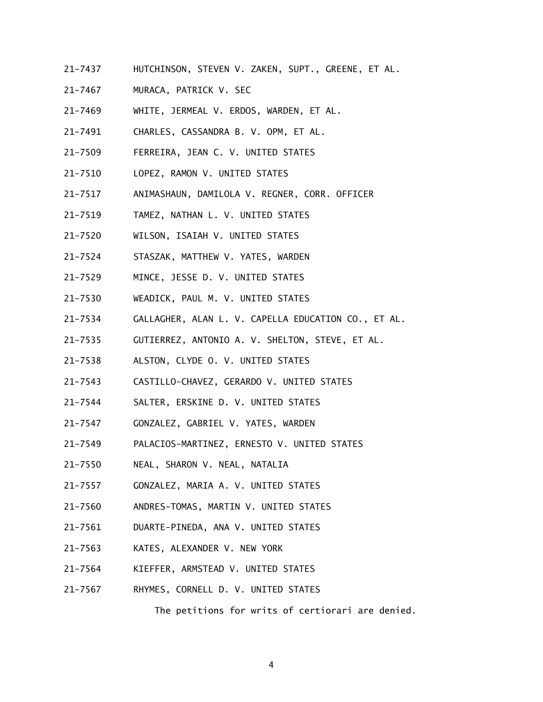- 21-7437 HUTCHINSON, STEVEN V. ZAKEN, SUPT., GREENE, ET AL.
- $21 7467$ MURACA, PATRICK V. SEC
- 21-7469 WHITE, JERMEAL V. ERDOS, WARDEN, ET AL.
- 21-7491 CHARLES, CASSANDRA B. V. OPM, ET AL.
- 21-7509 FERREIRA, JEAN C. V. UNITED STATES
- 21-7510 LOPEZ, RAMON V. UNITED STATES
- 21-7517 ANIMASHAUN, DAMILOLA V. REGNER, CORR. OFFICER
- $21 7519$ 21-7519 TAMEZ, NATHAN L. V. UNITED STATES
- 21-7520 WILSON, ISAIAH V. UNITED STATES
- 21-7524 STASZAK, MATTHEW V. YATES, WARDEN
- 21-7529 MINCE, JESSE D. V. UNITED STATES
- 21-7530 WEADICK, PAUL M. V. UNITED STATES
- 21-7534 GALLAGHER, ALAN L. V. CAPELLA EDUCATION CO., ET AL.
- 21-7535 GUTIERREZ, ANTONIO A. V. SHELTON, STEVE, ET AL.
- 21-7538 ALSTON, CLYDE O. V. UNITED STATES
- 21-7543 CASTILLO-CHAVEZ, GERARDO V. UNITED STATES
- 21-7544 SALTER, ERSKINE D. V. UNITED STATES
- 21-7547 GONZALEZ, GABRIEL V. YATES, WARDEN
- 21-7549 PALACIOS-MARTINEZ, ERNESTO V. UNITED STATES
- 21-7550 NEAL, SHARON V. NEAL, NATALIA
- 21-7557 GONZALEZ, MARIA A. V. UNITED STATES
- 21-7560 ANDRES-TOMAS, MARTIN V. UNITED STATES
- 21-7561 DUARTE-PINEDA, ANA V. UNITED STATES
- $21 7563$ KATES, ALEXANDER V. NEW YORK
- 21-7564 KIEFFER, ARMSTEAD V. UNITED STATES
- 21-7567 RHYMES, CORNELL D. V. UNITED STATES

The petitions for writs of certiorari are denied.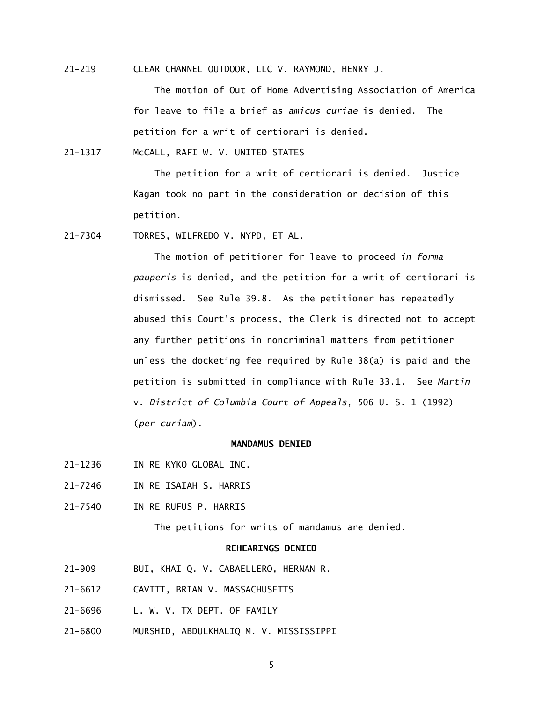$21 - 219$ CLEAR CHANNEL OUTDOOR, LLC V. RAYMOND, HENRY J.

> The motion of Out of Home Advertising Association of America for leave to file a brief as *amicus curiae* is denied. The petition for a writ of certiorari is denied.

21-1317 McCALL, RAFI W. V. UNITED STATES

 The petition for a writ of certiorari is denied. Justice Kagan took no part in the consideration or decision of this petition.

21-7304 TORRES, WILFREDO V. NYPD, ET AL.

 The motion of petitioner for leave to proceed *in forma pauperis* is denied, and the petition for a writ of certiorari is dismissed. See Rule 39.8. As the petitioner has repeatedly abused this Court's process, the Clerk is directed not to accept any further petitions in noncriminal matters from petitioner unless the docketing fee required by Rule 38(a) is paid and the petition is submitted in compliance with Rule 33.1. See *Martin*  v. *District of Columbia Court of Appeals*, 506 U. S. 1 (1992) (*per curiam*).

## **MANDAMUS DENIED**

- 21-1236 IN RE KYKO GLOBAL INC.
- 21-7246 IN RE ISAIAH S. HARRIS
- 21-7540 IN RE RUFUS P. HARRIS

The petitions for writs of mandamus are denied.

# **REHEARINGS DENIED**

- $21 909$ BUI, KHAI Q. V. CABAELLERO, HERNAN R.
- 21-6612 CAVITT, BRIAN V. MASSACHUSETTS
- 21-6696 L. W. V. TX DEPT. OF FAMILY
- 21-6800 MURSHID, ABDULKHALIQ M. V. MISSISSIPPI

5